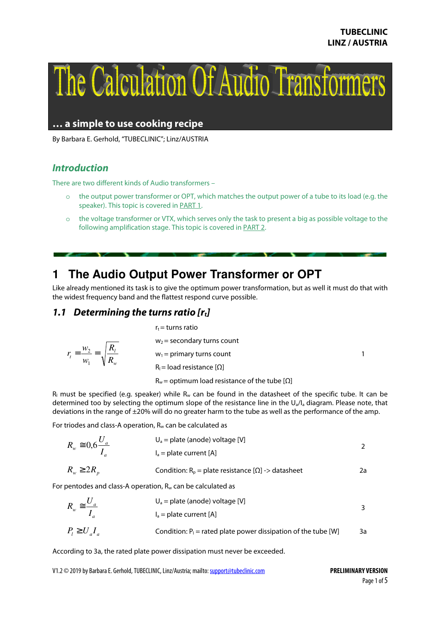

**… a simple to use cooking recipe** 

By Barbara E. Gerhold, "TUBECLINIC"; Linz/AUSTRIA

# **Introduction**

There are two different kinds of Audio transformers –

- o the output power transformer or OPT, which matches the output power of a tube to its load (e.g. the speaker). This topic is covered in PART 1.
- o the voltage transformer or VTX, which serves only the task to present a big as possible voltage to the following amplification stage. This topic is covered in **PART 2**.

# **1 The Audio Output Power Transformer or OPT**

Like already mentioned its task is to give the optimum power transformation, but as well it must do that with the widest frequency band and the flattest respond curve possible.

# **1.1 Determining the turns ratio [rt]**

*R*

*w*  $r_t = \frac{w_2}{\sqrt{w_1}}$ 1 2

*w*  $\tau_i = \frac{W_2}{W_1} = \sqrt{\frac{R_l}{R_u}}$  $r_t$  = turns ratio  $w_2$  = secondary turns count  $w_1$  = primary turns count  $R_l$  = load resistance [ $\Omega$ ]  $R_w$  = optimum load resistance of the tube [ $\Omega$ ] 1

 $R_1$  must be specified (e.g. speaker) while  $R_w$  can be found in the datasheet of the specific tube. It can be determined too by selecting the optimum slope of the resistance line in the  $U_a/I_a$  diagram. Please note, that deviations in the range of ±20% will do no greater harm to the tube as well as the performance of the amp.

For triodes and class-A operation,  $R_w$  can be calculated as

$$
R_w \cong 0,6 \frac{U_a}{I_a}
$$
\n
$$
U_a = plate \text{ (anode) voltage [V]}
$$
\n
$$
R_w \geq 2R_p
$$
\n
$$
Condition: R_p = plate \text{ resistance [Q]} \Rightarrow \text{datasheet}
$$
\n
$$
2a
$$

For pentodes and class-A operation,  $R_w$  can be calculated as

$$
R_w \cong \frac{U_a}{I_a}
$$
  
\n
$$
U_a = \text{plate (anode) voltage [V]}
$$
  
\n
$$
I_a = \text{plate current [A]}
$$
  
\n
$$
P_l \ge U_a I_a
$$
  
\nCondition: P<sub>l</sub> = rated plate power dissipation of the tube [W]

According to 3a, the rated plate power dissipation must never be exceeded.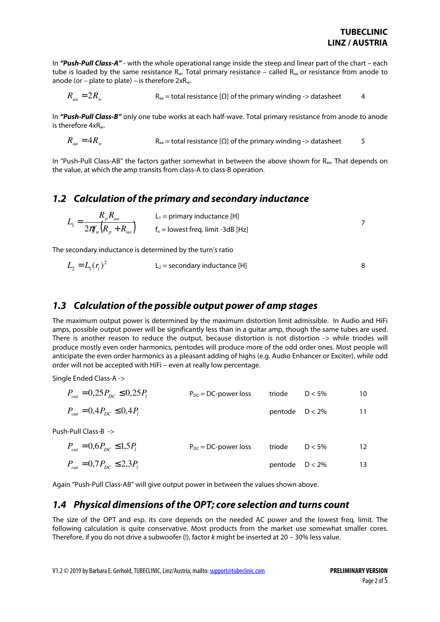In **"Push-Pull Class-A"** - with the whole operational range inside the steep and linear part of the chart – each tube is loaded by the same resistance  $R_w$ . Total primary resistance – called  $R_{aa}$  or resistance from anode to anode (or – plate to plate) – is therefore  $2xR_w$ .

$$
R_{aa} = 2R_w
$$
 R<sub>aa</sub> = total resistance [\Omega] of the primary winding -> database t

In **"Push-Pull Class-B"** only one tube works at each half-wave. Total primary resistance from anode to anode is therefore 4xRw.

$$
R_{aa} = 4R_w
$$
  $R_{aa} = \text{total resistance} [\Omega]$  of the primary winding -> database  $5$ 

In "Push-Pull Class-AB" the factors gather somewhat in between the above shown for  $R<sub>aa</sub>$ . That depends on the value, at which the amp transits from class-A to class-B operation.

### **1.2 Calculation of the primary and secondary inductance**

$$
L_1 = \frac{R_p R_{aa}}{2\pi \int_a (R_p + R_{aa})}
$$
 L\_1 = primary inductance [H]  
  $f_u$  = lowest freq. limit -3dB [Hz]

The secondary inductance is determined by the turn's ratio

$$
L_2 = L_1(r_t)^2
$$
  $L_2$  = secondary inductance [H]

#### **1.3 Calculation of the possible output power of amp stages**

The maximum output power is determined by the maximum distortion limit admissible. In Audio and HiFi amps, possible output power will be significantly less than in a guitar amp, though the same tubes are used. There is another reason to reduce the output, because distortion is not distortion -> while triodes will produce mostly even order harmonics, pentodes will produce more of the odd order ones. Most people will anticipate the even order harmonics as a pleasant adding of highs (e.g. Audio Enhancer or Exciter), while odd order will not be accepted with HiFi – even at really low percentage.

Single Ended Class-A ->

| $P_{out} = 0.25 P_{nc} \le 0.25 P_{i}$ | $P_{DC} = DC$ -power loss | triode            | $D < 5\%$ | 10 |
|----------------------------------------|---------------------------|-------------------|-----------|----|
| $P_{out} = 0.4 P_{DC} \le 0.4 P_{T}$   |                           | pentode $D < 2\%$ |           | 11 |
| Push-Pull Class-B ->                   |                           |                   |           |    |
| $P_{out} = 0.6 P_{DC} \le 1.5 P_{I}$   | $P_{DC}$ = DC-power loss  | triode            | $D < 5\%$ | 12 |
| $P_{out} = 0.7 P_{DC} \le 2.3 P_{i}$   |                           | pentode $D < 2\%$ |           | 13 |

Again "Push-Pull Class-AB" will give output power in between the values shown above.

#### **1.4 Physical dimensions of the OPT; core selection and turns count**

The size of the OPT and esp. its core depends on the needed AC power and the lowest freq. limit. The following calculation is quite conservative. Most products from the market use somewhat smaller cores. Therefore, if you do not drive a subwoofer (!), factor k might be inserted at 20 – 30% less value.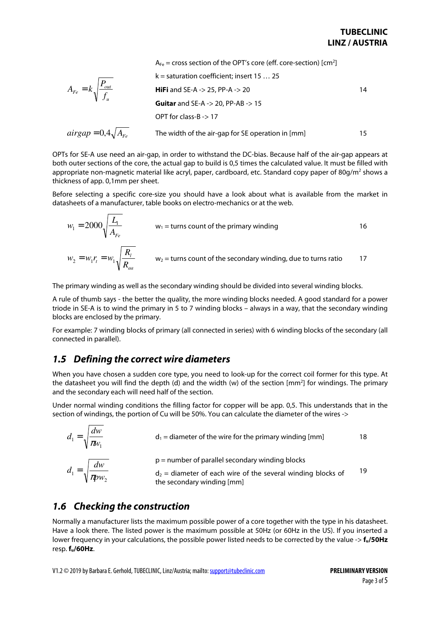|                                         | $A_{Fe}$ = cross section of the OPT's core (eff. core-section) [cm <sup>2</sup> ] |     |
|-----------------------------------------|-----------------------------------------------------------------------------------|-----|
| $A_{Fe} = k \sqrt{\frac{P_{out}}{f_u}}$ | $k =$ saturation coefficient; insert 15  25                                       |     |
|                                         | <b>HiFi</b> and SE-A -> 25, PP-A -> 20                                            | 14  |
|                                         | <b>Guitar</b> and SE-A -> 20, PP-AB -> 15                                         |     |
|                                         | OPT for class-B $\rightarrow$ 17                                                  |     |
| $airgap = 0,4\sqrt{A_{Fe}}$             | The width of the air-gap for SE operation in [mm]                                 | 15. |

OPTs for SE-A use need an air-gap, in order to withstand the DC-bias. Because half of the air-gap appears at both outer sections of the core, the actual gap to build is 0,5 times the calculated value. It must be filled with appropriate non-magnetic material like acryl, paper, cardboard, etc. Standard copy paper of 80g/m $^2$  shows a  $\,$ thickness of app. 0,1mm per sheet.

Before selecting a specific core-size you should have a look about what is available from the market in datasheets of a manufacturer, table books on electro-mechanics or at the web.

$$
w_1 = 2000 \sqrt{\frac{L_1}{A_{Fe}}}
$$
  $w_1$  = turns count of the primary winding  

$$
w_2 = w_1 r_t = w_1 \sqrt{\frac{R_t}{R_{aa}}}
$$
  $w_2$  = turns count of the secondary winding, due to turns ratio 17

The primary winding as well as the secondary winding should be divided into several winding blocks.

A rule of thumb says - the better the quality, the more winding blocks needed. A good standard for a power triode in SE-A is to wind the primary in 5 to 7 winding blocks – always in a way, that the secondary winding blocks are enclosed by the primary.

For example: 7 winding blocks of primary (all connected in series) with 6 winding blocks of the secondary (all connected in parallel).

# **1.5 Defining the correct wire diameters**

When you have chosen a sudden core type, you need to look-up for the correct coil former for this type. At the datasheet you will find the depth (d) and the width (w) of the section [mm<sup>2</sup>] for windings. The primary and the secondary each will need half of the section.

Under normal winding conditions the filling factor for copper will be app. 0,5. This understands that in the section of windings, the portion of Cu will be 50%. You can calculate the diameter of the wires ->

$$
d_1 = \sqrt{\frac{dw}{\pi w_1}}
$$
\n
$$
d_1 = \text{diameter of the wire for the primary winding [mm]}
$$
\n
$$
d_1 = \sqrt{\frac{dw}{\pi p w_2}}
$$
\n
$$
d_2 = \text{diameter of each wire of the several winding blocks}
$$
\n
$$
d_3 = \text{diameter of each wire of the several winding blocks}
$$
\n
$$
d_4 = \sqrt{\frac{dw}{\pi p w_2}}
$$
\n
$$
d_5 = \text{diameter of each wire of the several winding blocks}
$$

# **1.6 Checking the construction**

Normally a manufacturer lists the maximum possible power of a core together with the type in his datasheet. Have a look there. The listed power is the maximum possible at 50Hz (or 60Hz in the US). If you inserted a lower frequency in your calculations, the possible power listed needs to be corrected by the value -> **fu/50Hz**  resp. **fu/60Hz**.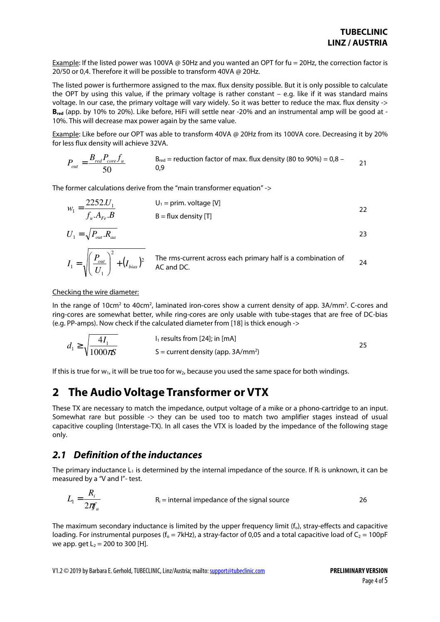Example: If the listed power was 100VA @ 50Hz and you wanted an OPT for fu = 20Hz, the correction factor is 20/50 or 0,4. Therefore it will be possible to transform 40VA @ 20Hz.

The listed power is furthermore assigned to the max. flux density possible. But it is only possible to calculate the OPT by using this value, if the primary voltage is rather constant – e.g. like if it was standard mains voltage. In our case, the primary voltage will vary widely. So it was better to reduce the max. flux density -> **Bred** (app. by 10% to 20%). Like before, HiFi will settle near -20% and an instrumental amp will be good at - 10%. This will decrease max power again by the same value.

Example: Like before our OPT was able to transform 40VA @ 20Hz from its 100VA core. Decreasing it by 20% for less flux density will achieve 32VA.

$$
P_{out} = \frac{B_{red} P_{core} f_u}{50}
$$
  $B_{red}$  = reduction factor of max. flux density (80 to 90%) = 0,8 – 21

The former calculations derive from the "main transformer equation" ->

$$
w_1 = \frac{2252.U_1}{f_u.A_{Fe}.B}
$$
 
$$
U_1 = \text{prim. voltage [V]}
$$
 
$$
B = \text{flux density [T]}
$$
 
$$
22
$$

$$
U_1 = \sqrt{P_{out} R_{aa}}
$$

$$
I_1 = \sqrt{\left(\frac{P_{out}}{U_1}\right)^2 + (I_{bias})^2}
$$
 The rms-current across each primary half is a combination of AC and DC.

#### Checking the wire diameter:

In the range of 10cm<sup>2</sup> to 40cm<sup>2</sup>, laminated iron-cores show a current density of app. 3A/mm<sup>2</sup>. C-cores and ring-cores are somewhat better, while ring-cores are only usable with tube-stages that are free of DC-bias (e.g. PP-amps). Now check if the calculated diameter from [18] is thick enough ->

$$
d_1 \ge \sqrt{\frac{4I_1}{1000\pi S}}
$$
l<sub>1</sub> results from [24]; in [mA]  
S = current density (app. 3A/mm<sup>2</sup>)

If this is true for  $w_1$ , it will be true too for  $w_2$ , because you used the same space for both windings.

# **2 The Audio Voltage Transformer or VTX**

These TX are necessary to match the impedance, output voltage of a mike or a phono-cartridge to an input. Somewhat rare but possible -> they can be used too to match two amplifier stages instead of usual capacitive coupling (Interstage-TX). In all cases the VTX is loaded by the impedance of the following stage only.

#### **2.1 Definition of the inductances**

*R*

The primary inductance  $L_1$  is determined by the internal impedance of the source. If  $R_i$  is unknown, it can be measured by a "V and I"- test.

$$
L_1 = \frac{K_i}{2\pi f_u}
$$
 R<sub>i</sub> = internal impedance of the signal source 26

The maximum secondary inductance is limited by the upper frequency limit  $(f_o)$ , stray-effects and capacitive loading. For instrumental purposes ( $f_0 = 7kHz$ ), a stray-factor of 0,05 and a total capacitive load of  $C_2 = 100pF$ we app. get  $L_2 = 200$  to 300 [H].